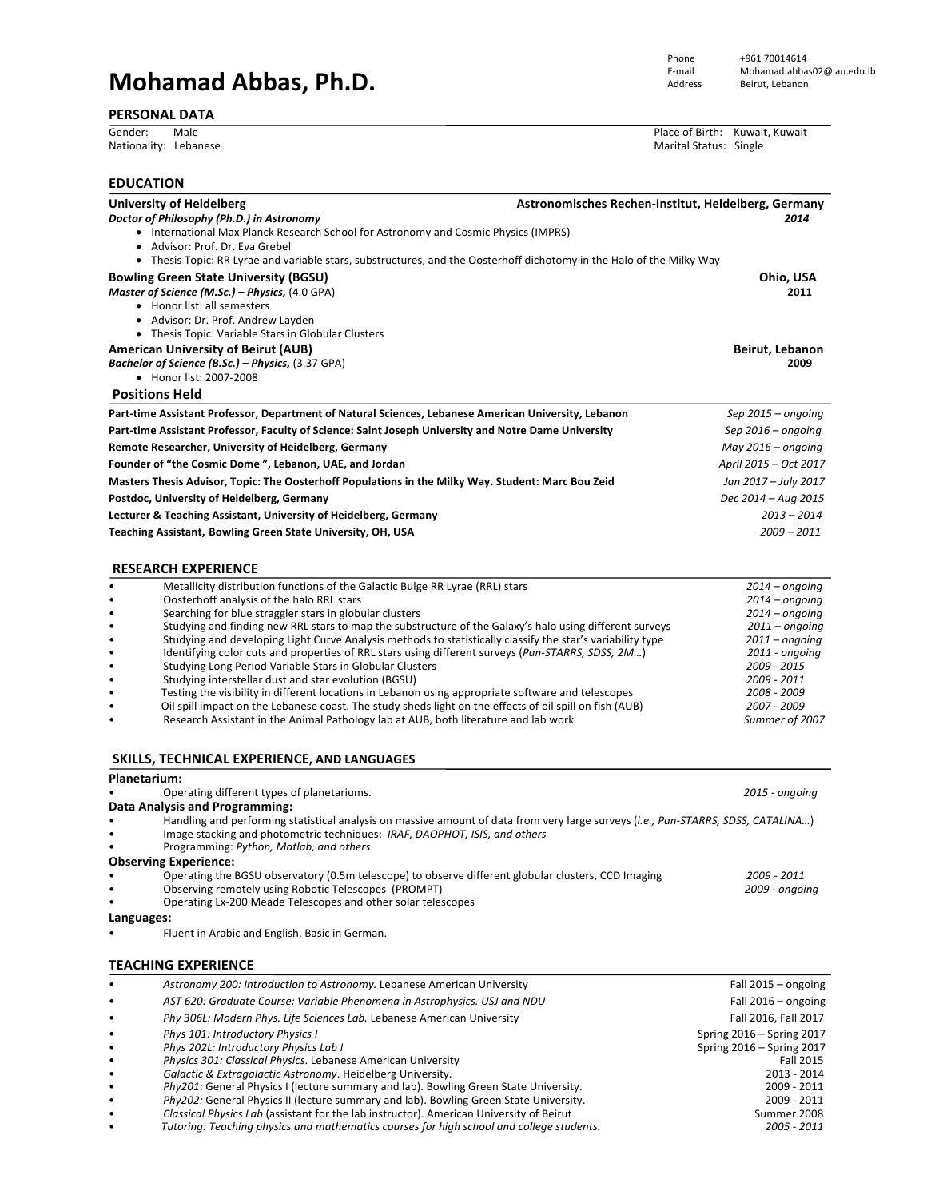# **Mohamad Abbas, Ph.D.**

## **PERSONAL DATA**

Phone +961 70014614<br>E-mail Mohamad.abbas

#### Gender: Male **and Contract Contract Contract Contract Contract Contract Contract Contract Contract Contract Contract Contract Contract Contract Contract Contract Contract Contract Contract Contract Contract Contract Contra** Marital Status: Single

| <b>EDUCATION</b>       |                                                                                                                                                                                                                                                            |                                                   |  |  |
|------------------------|------------------------------------------------------------------------------------------------------------------------------------------------------------------------------------------------------------------------------------------------------------|---------------------------------------------------|--|--|
|                        | <b>University of Heidelberg</b><br>Astronomisches Rechen-Institut, Heidelberg, Germany<br>Doctor of Philosophy (Ph.D.) in Astronomy<br>• International Max Planck Research School for Astronomy and Cosmic Physics (IMPRS)                                 | 2014                                              |  |  |
|                        | • Advisor: Prof. Dr. Eva Grebel<br>• Thesis Topic: RR Lyrae and variable stars, substructures, and the Oosterhoff dichotomy in the Halo of the Milky Way                                                                                                   |                                                   |  |  |
|                        | <b>Bowling Green State University (BGSU)</b><br>Master of Science (M.Sc.) - Physics, (4.0 GPA)<br>• Honor list: all semesters                                                                                                                              | Ohio, USA<br>2011                                 |  |  |
|                        | • Advisor: Dr. Prof. Andrew Layden<br>• Thesis Topic: Variable Stars in Globular Clusters<br><b>American University of Beirut (AUB)</b>                                                                                                                    | Beirut, Lebanon<br>2009                           |  |  |
|                        | Bachelor of Science (B.Sc.) - Physics, (3.37 GPA)<br>• Honor list: 2007-2008                                                                                                                                                                               |                                                   |  |  |
|                        | <b>Positions Held</b>                                                                                                                                                                                                                                      |                                                   |  |  |
|                        | Part-time Assistant Professor, Department of Natural Sciences, Lebanese American University, Lebanon                                                                                                                                                       | Sep 2015 - ongoing                                |  |  |
|                        | Part-time Assistant Professor, Faculty of Science: Saint Joseph University and Notre Dame University                                                                                                                                                       | Sep $2016$ – ongoing                              |  |  |
|                        | Remote Researcher, University of Heidelberg, Germany                                                                                                                                                                                                       | May 2016 - ongoing                                |  |  |
|                        | Founder of "the Cosmic Dome", Lebanon, UAE, and Jordan                                                                                                                                                                                                     | April 2015 - Oct 2017                             |  |  |
|                        | Masters Thesis Advisor, Topic: The Oosterhoff Populations in the Milky Way. Student: Marc Bou Zeid                                                                                                                                                         | Jan 2017 - July 2017                              |  |  |
|                        | Postdoc, University of Heidelberg, Germany                                                                                                                                                                                                                 | Dec 2014 - Aug 2015                               |  |  |
|                        | Lecturer & Teaching Assistant, University of Heidelberg, Germany                                                                                                                                                                                           | $2013 - 2014$                                     |  |  |
|                        | Teaching Assistant, Bowling Green State University, OH, USA                                                                                                                                                                                                | 2009 – 2011                                       |  |  |
|                        | <b>RESEARCH EXPERIENCE</b>                                                                                                                                                                                                                                 |                                                   |  |  |
|                        | Metallicity distribution functions of the Galactic Bulge RR Lyrae (RRL) stars                                                                                                                                                                              | $2014$ – ongoing                                  |  |  |
|                        | Oosterhoff analysis of the halo RRL stars                                                                                                                                                                                                                  | $2014$ – ongoing                                  |  |  |
| $\bullet$<br>$\bullet$ | Searching for blue straggler stars in globular clusters<br>Studying and finding new RRL stars to map the substructure of the Galaxy's halo using different surveys                                                                                         | $2014$ – ongoing<br>$2011$ – ongoing              |  |  |
| $\bullet$              | Studying and developing Light Curve Analysis methods to statistically classify the star's variability type                                                                                                                                                 | $2011$ – ongoing                                  |  |  |
| ٠                      | Identifying color cuts and properties of RRL stars using different surveys (Pan-STARRS, SDSS, 2M)                                                                                                                                                          | 2011 - ongoing                                    |  |  |
| $\bullet$              | Studying Long Period Variable Stars in Globular Clusters                                                                                                                                                                                                   | 2009 - 2015                                       |  |  |
| $\bullet$<br>$\bullet$ | Studying interstellar dust and star evolution (BGSU)<br>Testing the visibility in different locations in Lebanon using appropriate software and telescopes                                                                                                 | 2009 - 2011<br>2008 - 2009                        |  |  |
|                        | Oil spill impact on the Lebanese coast. The study sheds light on the effects of oil spill on fish (AUB)<br>Research Assistant in the Animal Pathology lab at AUB, both literature and lab work                                                             | 2007 - 2009<br>Summer of 2007                     |  |  |
|                        | SKILLS, TECHNICAL EXPERIENCE, AND LANGUAGES                                                                                                                                                                                                                |                                                   |  |  |
| Planetarium:           |                                                                                                                                                                                                                                                            |                                                   |  |  |
|                        | Operating different types of planetariums.                                                                                                                                                                                                                 | 2015 - ongoing                                    |  |  |
|                        | Data Analysis and Programming:                                                                                                                                                                                                                             |                                                   |  |  |
| ٠                      | Handling and performing statistical analysis on massive amount of data from very large surveys (i.e., Pan-STARRS, SDSS, CATALINA)<br>Image stacking and photometric techniques: IRAF, DAOPHOT, ISIS, and others<br>Programming: Python, Matlab, and others |                                                   |  |  |
|                        | <b>Observing Experience:</b><br>Operating the BGSU observatory (0.5m telescope) to observe different globular clusters, CCD Imaging                                                                                                                        | 2009 - 2011                                       |  |  |
|                        | Observing remotely using Robotic Telescopes (PROMPT)                                                                                                                                                                                                       | 2009 - ongoing                                    |  |  |
|                        | Operating Lx-200 Meade Telescopes and other solar telescopes                                                                                                                                                                                               |                                                   |  |  |
| Languages:             |                                                                                                                                                                                                                                                            |                                                   |  |  |
|                        | Fluent in Arabic and English. Basic in German.                                                                                                                                                                                                             |                                                   |  |  |
|                        | <b>TEACHING EXPERIENCE</b>                                                                                                                                                                                                                                 |                                                   |  |  |
|                        | Astronomy 200: Introduction to Astronomy. Lebanese American University                                                                                                                                                                                     | Fall 2015 - ongoing                               |  |  |
|                        | AST 620: Graduate Course: Variable Phenomena in Astrophysics. USJ and NDU                                                                                                                                                                                  | Fall 2016 – ongoing                               |  |  |
|                        | Phy 306L: Modern Phys. Life Sciences Lab. Lebanese American University<br>Phys 101: Introductory Physics I                                                                                                                                                 | Fall 2016, Fall 2017<br>Spring 2016 - Spring 2017 |  |  |
| $\bullet$              | Phys 202L: Introductory Physics Lab I                                                                                                                                                                                                                      | Spring 2016 - Spring 2017                         |  |  |
| ٠                      | Physics 301: Classical Physics. Lebanese American University                                                                                                                                                                                               | Fall 2015                                         |  |  |
| $\bullet$              | Galactic & Extragalactic Astronomy. Heidelberg University.                                                                                                                                                                                                 | 2013 - 2014                                       |  |  |
| ٠                      | Phy201: General Physics I (lecture summary and lab). Bowling Green State University.<br>Phy202: General Physics II (lecture summary and lab). Bowling Green State University.                                                                              | 2009 - 2011<br>2009 - 2011                        |  |  |
| ٠                      | Classical Physics Lab (assistant for the lab instructor). American University of Beirut                                                                                                                                                                    | Summer 2008                                       |  |  |

• *Classical Physics Lab* (assistant for the lab instructor). American University of Beirut Summer 2008 Tutoring: Teaching physics and mathematics courses for high school and college students.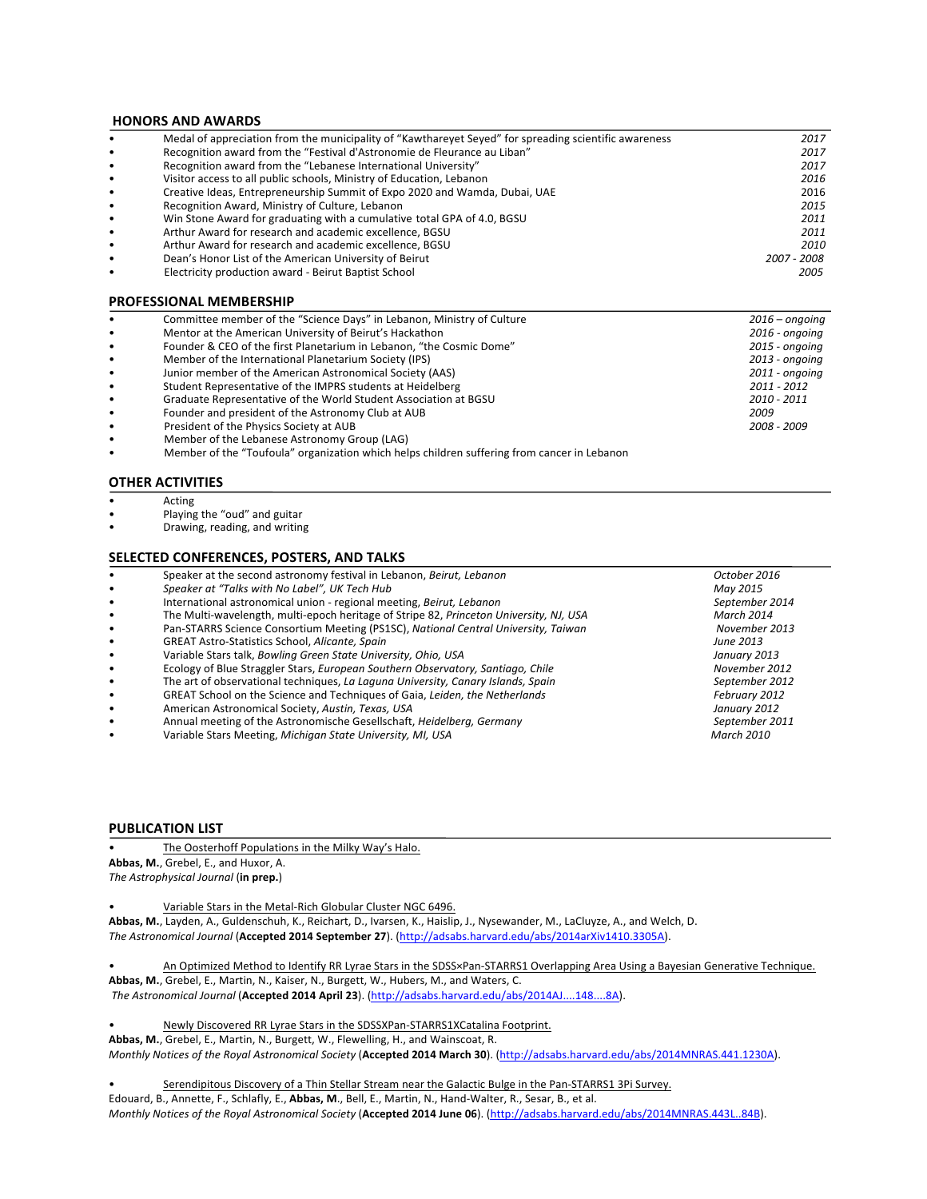### **HONORS AND AWARDS**

|           | Medal of appreciation from the municipality of "Kawtharevet Seved" for spreading scientific awareness | 2017        |
|-----------|-------------------------------------------------------------------------------------------------------|-------------|
| ٠         | Recognition award from the "Festival d'Astronomie de Fleurance au Liban"                              | 2017        |
| $\bullet$ | Recognition award from the "Lebanese International University"                                        | 2017        |
| $\bullet$ | Visitor access to all public schools, Ministry of Education, Lebanon                                  | 2016        |
| $\bullet$ | Creative Ideas, Entrepreneurship Summit of Expo 2020 and Wamda, Dubai, UAE                            | 2016        |
| ٠         | Recognition Award, Ministry of Culture, Lebanon                                                       | 2015        |
| $\bullet$ | Win Stone Award for graduating with a cumulative total GPA of 4.0, BGSU                               | 2011        |
| $\bullet$ | Arthur Award for research and academic excellence. BGSU                                               | 2011        |
|           | Arthur Award for research and academic excellence, BGSU                                               | 2010        |
| $\bullet$ | Dean's Honor List of the American University of Beirut                                                | 2007 - 2008 |
|           | Electricity production award - Beirut Baptist School                                                  | 2005        |
|           |                                                                                                       |             |

#### **PROFESSIONAL MEMBERSHIP**

| $\bullet$ | Committee member of the "Science Days" in Lebanon, Ministry of Culture | $2016$ – ongoing |
|-----------|------------------------------------------------------------------------|------------------|
| $\bullet$ | Mentor at the American University of Beirut's Hackathon                | $2016$ - ongoing |
| $\bullet$ | Founder & CEO of the first Planetarium in Lebanon, "the Cosmic Dome"   | 2015 - ongoing   |
| $\bullet$ | Member of the International Planetarium Society (IPS)                  | 2013 - ongoing   |
| $\bullet$ | Junior member of the American Astronomical Society (AAS)               | 2011 - ongoing   |
| $\bullet$ | Student Representative of the IMPRS students at Heidelberg             | 2011 - 2012      |
| $\bullet$ | Graduate Representative of the World Student Association at BGSU       | 2010 - 2011      |
| $\bullet$ | Founder and president of the Astronomy Club at AUB                     | 2009             |
| $\bullet$ | President of the Physics Society at AUB                                | 2008 - 2009      |
|           | Member of the Lebanese Astronomy Group (LAG)                           |                  |
|           |                                                                        |                  |

• Member of the "Toufoula" organization which helps children suffering from cancer in Lebanon

#### **OTHER ACTIVITIES**

- Acting
- Playing the "oud" and guitar
- Drawing, reading, and writing

### **SELECTED CONFERENCES, POSTERS, AND TALKS**

|           | Speaker at the second astronomy festival in Lebanon, Beirut, Lebanon                   | October 2016      |
|-----------|----------------------------------------------------------------------------------------|-------------------|
| $\bullet$ | Speaker at "Talks with No Label", UK Tech Hub                                          | May 2015          |
| $\bullet$ | International astronomical union - regional meeting, Beirut, Lebanon                   | September 2014    |
| $\bullet$ | The Multi-wavelength, multi-epoch heritage of Stripe 82, Princeton University, NJ, USA | March 2014        |
| $\bullet$ | Pan-STARRS Science Consortium Meeting (PS1SC), National Central University, Taiwan     | November 2013     |
| $\bullet$ | <b>GREAT Astro-Statistics School, Alicante, Spain</b>                                  | June 2013         |
| $\bullet$ | Variable Stars talk, Bowling Green State University, Ohio, USA                         | January 2013      |
| $\bullet$ | Ecology of Blue Straggler Stars, European Southern Observatory, Santiago, Chile        | November 2012     |
| $\bullet$ | The art of observational techniques, La Laguna University, Canary Islands, Spain       | September 2012    |
| $\bullet$ | GREAT School on the Science and Techniques of Gaia, Leiden, the Netherlands            | February 2012     |
| $\bullet$ | American Astronomical Society, Austin, Texas, USA                                      | January 2012      |
| $\bullet$ | Annual meeting of the Astronomische Gesellschaft, Heidelberg, Germany                  | September 2011    |
| $\bullet$ | Variable Stars Meeting, Michigan State University, MI, USA                             | <b>March 2010</b> |
|           |                                                                                        |                   |

#### **PUBLICATION LIST**

The Oosterhoff Populations in the Milky Way's Halo.

Abbas, M., Grebel, E., and Huxor, A. *The Astrophysical Journal* (**in prep.**)

Variable Stars in the Metal-Rich Globular Cluster NGC 6496.

Abbas, M., Layden, A., Guldenschuh, K., Reichart, D., Ivarsen, K., Haislip, J., Nysewander, M., LaCluyze, A., and Welch, D. *The Astronomical Journal* (**Accepted 2014 September 27**). (http://adsabs.harvard.edu/abs/2014arXiv1410.3305A). 

An Optimized Method to Identify RR Lyrae Stars in the SDSS×Pan-STARRS1 Overlapping Area Using a Bayesian Generative Technique. Abbas, M., Grebel, E., Martin, N., Kaiser, N., Burgett, W., Hubers, M., and Waters, C.

*The Astronomical Journal* (**Accepted 2014 April 23**). (http://adsabs.harvard.edu/abs/2014AJ....148....8A). 

Newly Discovered RR Lyrae Stars in the SDSSXPan-STARRS1XCatalina Footprint.

Abbas, M., Grebel, E., Martin, N., Burgett, W., Flewelling, H., and Wainscoat, R.

*Monthly Notices of the Royal Astronomical Society* (**Accepted 2014 March 30**). (http://adsabs.harvard.edu/abs/2014MNRAS.441.1230A).

Serendipitous Discovery of a Thin Stellar Stream near the Galactic Bulge in the Pan-STARRS1 3Pi Survey.

Edouard, B., Annette, F., Schlafly, E., Abbas, M., Bell, E., Martin, N., Hand-Walter, R., Sesar, B., et al. *Monthly Notices of the Royal Astronomical Society* (Accepted 2014 June 06). (http://adsabs.harvard.edu/abs/2014MNRAS.443L..84B).